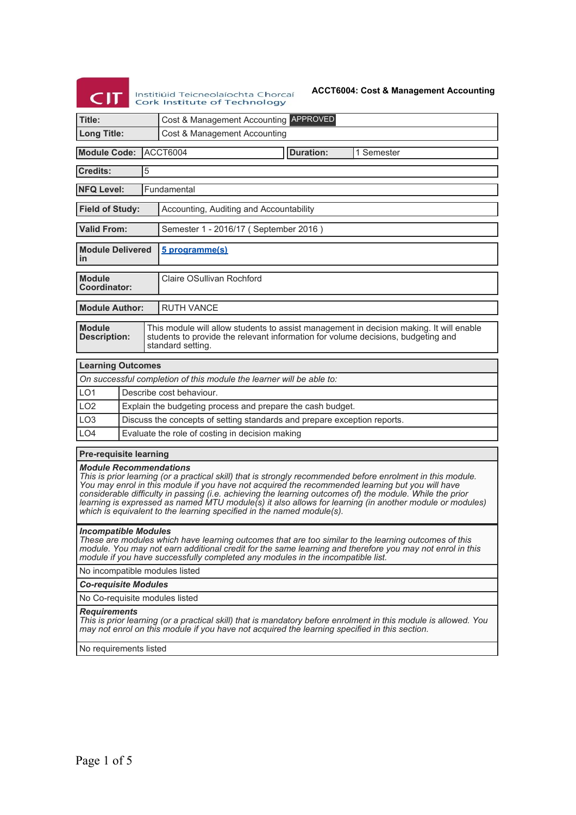# Institiúid Teicneolaíochta Chorcaí ork Institute of Technology

### **ACCT6004: Cost & Management Accounting**

| Cost & Management Accounting APPROVED<br>Title:                                                                                                                                                                                          |  |  |  |  |
|------------------------------------------------------------------------------------------------------------------------------------------------------------------------------------------------------------------------------------------|--|--|--|--|
| <b>Long Title:</b><br>Cost & Management Accounting                                                                                                                                                                                       |  |  |  |  |
| <b>Module Code:</b><br><b>ACCT6004</b><br><b>Duration:</b><br>1 Semester                                                                                                                                                                 |  |  |  |  |
| <b>Credits:</b><br>5                                                                                                                                                                                                                     |  |  |  |  |
| <b>NFQ Level:</b><br>Fundamental                                                                                                                                                                                                         |  |  |  |  |
| <b>Field of Study:</b><br>Accounting, Auditing and Accountability                                                                                                                                                                        |  |  |  |  |
| <b>Valid From:</b><br>Semester 1 - 2016/17 (September 2016)                                                                                                                                                                              |  |  |  |  |
| <b>Module Delivered</b><br>5 programme(s)<br>in                                                                                                                                                                                          |  |  |  |  |
| Claire OSullivan Rochford<br><b>Module</b><br>Coordinator:                                                                                                                                                                               |  |  |  |  |
| <b>Module Author:</b><br><b>RUTH VANCE</b>                                                                                                                                                                                               |  |  |  |  |
| <b>Module</b><br>This module will allow students to assist management in decision making. It will enable<br>students to provide the relevant information for volume decisions, budgeting and<br><b>Description:</b><br>standard setting. |  |  |  |  |
| <b>Learning Outcomes</b>                                                                                                                                                                                                                 |  |  |  |  |
| On successful completion of this module the learner will be able to:                                                                                                                                                                     |  |  |  |  |
| LO <sub>1</sub><br>Describe cost behaviour.                                                                                                                                                                                              |  |  |  |  |
| LO <sub>2</sub><br>Explain the budgeting process and prepare the cash budget.                                                                                                                                                            |  |  |  |  |
| LO <sub>3</sub><br>Discuss the concepts of setting standards and prepare exception reports.                                                                                                                                              |  |  |  |  |
| LO <sub>4</sub><br>Evaluate the role of costing in decision making                                                                                                                                                                       |  |  |  |  |
| <b>Pre-requisite learning</b>                                                                                                                                                                                                            |  |  |  |  |

# *Module Recommendations*

*This is prior learning (or a practical skill) that is strongly recommended before enrolment in this module. You may enrol in this module if you have not acquired the recommended learning but you will have considerable difficulty in passing (i.e. achieving the learning outcomes of) the module. While the prior learning is expressed as named MTU module(s) it also allows for learning (in another module or modules) which is equivalent to the learning specified in the named module(s).*

### *Incompatible Modules*

*These are modules which have learning outcomes that are too similar to the learning outcomes of this module. You may not earn additional credit for the same learning and therefore you may not enrol in this module if you have successfully completed any modules in the incompatible list.*

No incompatible modules listed

*Co-requisite Modules*

No Co-requisite modules listed

#### *Requirements*

*This is prior learning (or a practical skill) that is mandatory before enrolment in this module is allowed. You may not enrol on this module if you have not acquired the learning specified in this section.*

No requirements listed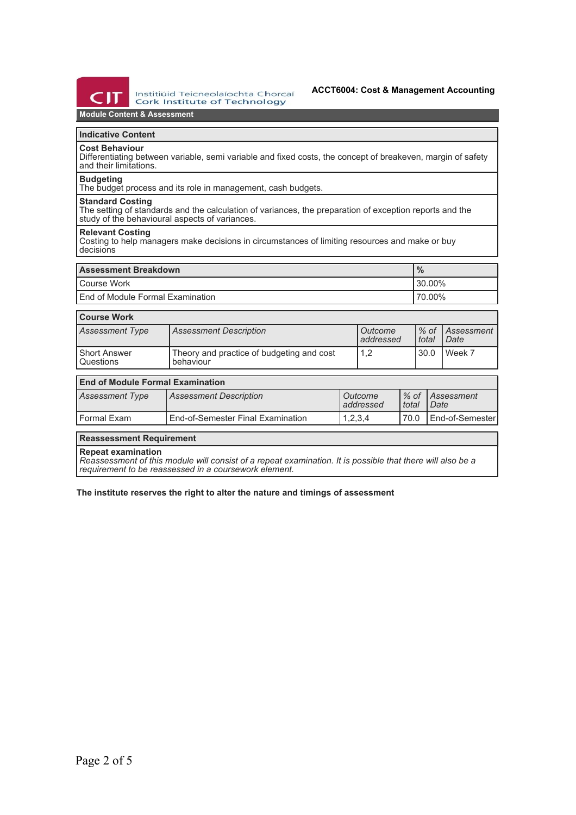

Institiúid Teicneolaíochta Chorcaí **Cork Institute of Technology** 

# **Module Content & Assessment**

# **Indicative Content**

## **Cost Behaviour**

Differentiating between variable, semi variable and fixed costs, the concept of breakeven, margin of safety and their limitations.

#### **Budgeting**

The budget process and its role in management, cash budgets.

#### **Standard Costing**

The setting of standards and the calculation of variances, the preparation of exception reports and the study of the behavioural aspects of variances.

## **Relevant Costing**

Costing to help managers make decisions in circumstances of limiting resources and make or buy decisions

| <b>Assessment Breakdown</b>        | $\%$       |
|------------------------------------|------------|
| l Course Work                      | $130.00\%$ |
| l End of Module Formal Examination | 70.00%     |

## **Course Work**

| Assessment Type                               | <b>Assessment Description</b>                          | l Outcome<br>l addressed | $%$ of<br>total | <i>Assessment</i><br>Date |
|-----------------------------------------------|--------------------------------------------------------|--------------------------|-----------------|---------------------------|
| <b>Short Answer</b><br><sup>I</sup> Questions | Theory and practice of budgeting and cost<br>behaviour | 1.2                      | 30.0            | Week 7                    |

# **End of Module Formal Examination**

| Assessment Type | <b>Assessment Description</b>     | Outcome<br>addressed | l total | Ⅰ% of <i>Assessment</i><br>Date |
|-----------------|-----------------------------------|----------------------|---------|---------------------------------|
| l Formal Exam   | End-of-Semester Final Examination | 1,2,3,4              | 70.0    | LEnd-of-Semester                |

## **Reassessment Requirement**

**Repeat examination**

*Reassessment of this module will consist of a repeat examination. It is possible that there will also be a requirement to be reassessed in a coursework element.*

**The institute reserves the right to alter the nature and timings of assessment**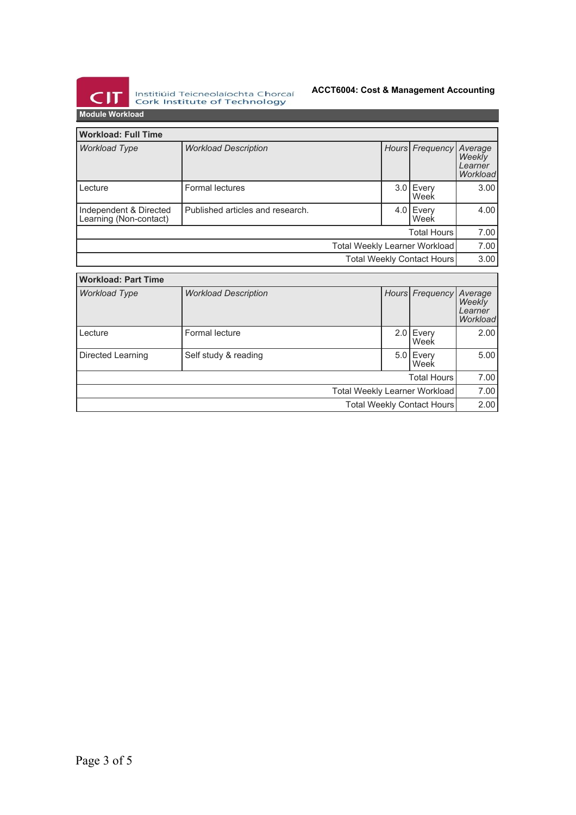

Institiúid Teicneolaíochta Chorcaí<br>Cork Institute of Technology

# **ACCT6004: Cost & Management Accounting**

**Module Workload**

| <b>Workload: Full Time</b>                       |                                  |      |                     |                                          |  |  |
|--------------------------------------------------|----------------------------------|------|---------------------|------------------------------------------|--|--|
| <b>Workload Type</b>                             | <b>Workload Description</b>      |      | Hours Frequency     | Average<br>Weekly<br>Learner<br>Workload |  |  |
| Lecture                                          | Formal lectures                  | 3.0  | Every<br>Week       | 3.00                                     |  |  |
| Independent & Directed<br>Learning (Non-contact) | Published articles and research. |      | $4.0$ Every<br>Week | 4.00                                     |  |  |
| <b>Total Hours</b>                               |                                  |      |                     | 7.00                                     |  |  |
| <b>Total Weekly Learner Workload</b>             |                                  |      |                     | 7.00                                     |  |  |
| <b>Total Weekly Contact Hours</b>                |                                  |      |                     | 3.00                                     |  |  |
| <b>Workload: Part Time</b>                       |                                  |      |                     |                                          |  |  |
| <b>Workload Type</b>                             | <b>Workload Description</b>      |      | Hours Frequency     | Average<br>Weekly<br>Learner<br>Workload |  |  |
| Lecture                                          | Formal lecture                   | 2.01 | Every<br>Week       | 2.00                                     |  |  |
| Directed Learning                                | Self study & reading             | 5.01 | Every<br>Week       | 5.00                                     |  |  |
| <b>Total Hours</b>                               |                                  |      | 7.00                |                                          |  |  |
| <b>Total Weekly Learner Workload</b>             |                                  |      | 7.00                |                                          |  |  |
|                                                  | Total Weekly Contact Hours       |      |                     |                                          |  |  |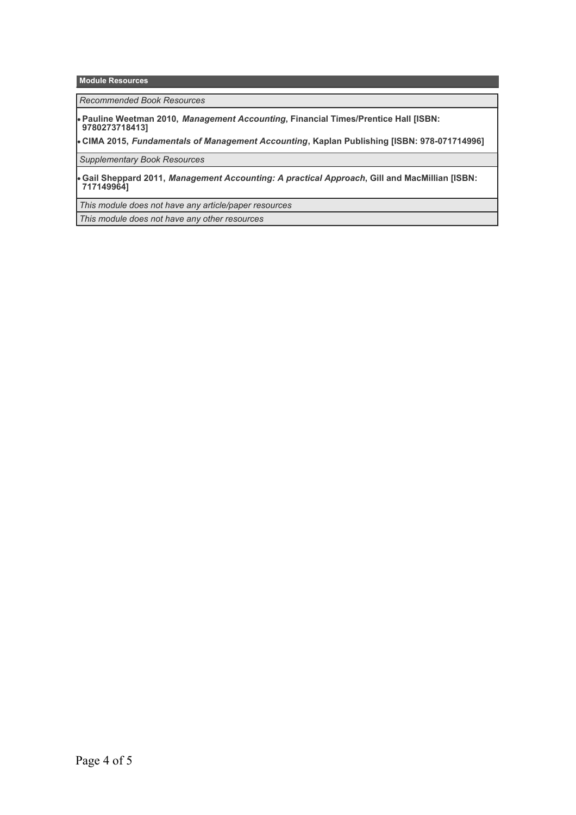#### **Module Resources**

*Recommended Book Resources*

**Pauline Weetman 2010,** *Management Accounting***, Financial Times/Prentice Hall [ISBN: 9780273718413]**

**CIMA 2015,** *Fundamentals of Management Accounting***, Kaplan Publishing [ISBN: 978-071714996]**

*Supplementary Book Resources*

**Gail Sheppard 2011,** *Management Accounting: A practical Approach***, Gill and MacMillian [ISBN: 717149964]**

*This module does not have any article/paper resources*

*This module does not have any other resources*